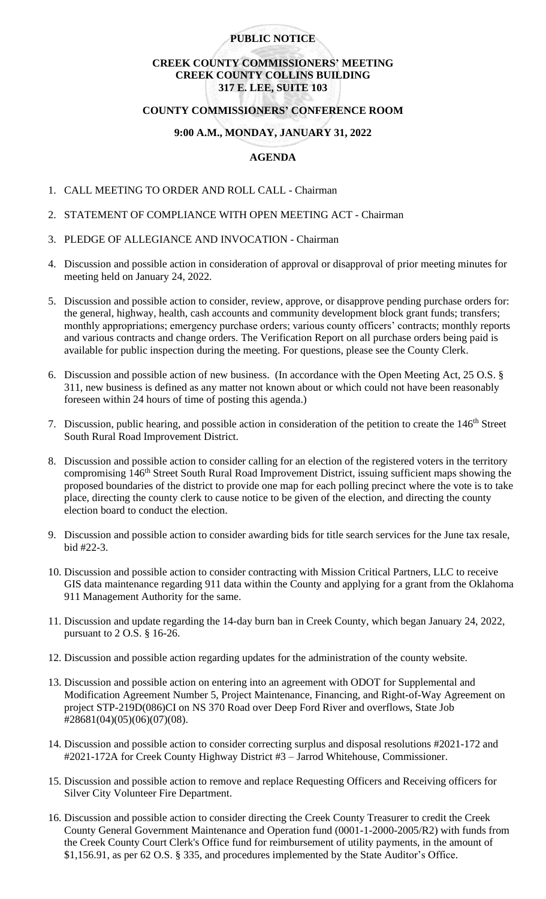### **PUBLIC NOTICE**

## **CREEK COUNTY COMMISSIONERS' MEETING CREEK COUNTY COLLINS BUILDING 317 E. LEE, SUITE 103**

#### **COUNTY COMMISSIONERS' CONFERENCE ROOM**

## **9:00 A.M., MONDAY, JANUARY 31, 2022**

## **AGENDA**

- 1. CALL MEETING TO ORDER AND ROLL CALL Chairman
- 2. STATEMENT OF COMPLIANCE WITH OPEN MEETING ACT Chairman
- 3. PLEDGE OF ALLEGIANCE AND INVOCATION Chairman
- 4. Discussion and possible action in consideration of approval or disapproval of prior meeting minutes for meeting held on January 24, 2022.
- 5. Discussion and possible action to consider, review, approve, or disapprove pending purchase orders for: the general, highway, health, cash accounts and community development block grant funds; transfers; monthly appropriations; emergency purchase orders; various county officers' contracts; monthly reports and various contracts and change orders. The Verification Report on all purchase orders being paid is available for public inspection during the meeting. For questions, please see the County Clerk.
- 6. Discussion and possible action of new business. (In accordance with the Open Meeting Act, 25 O.S. § 311, new business is defined as any matter not known about or which could not have been reasonably foreseen within 24 hours of time of posting this agenda.)
- 7. Discussion, public hearing, and possible action in consideration of the petition to create the 146<sup>th</sup> Street South Rural Road Improvement District.
- 8. Discussion and possible action to consider calling for an election of the registered voters in the territory compromising 146<sup>th</sup> Street South Rural Road Improvement District, issuing sufficient maps showing the proposed boundaries of the district to provide one map for each polling precinct where the vote is to take place, directing the county clerk to cause notice to be given of the election, and directing the county election board to conduct the election.
- 9. Discussion and possible action to consider awarding bids for title search services for the June tax resale, bid #22-3.
- 10. Discussion and possible action to consider contracting with Mission Critical Partners, LLC to receive GIS data maintenance regarding 911 data within the County and applying for a grant from the Oklahoma 911 Management Authority for the same.
- 11. Discussion and update regarding the 14-day burn ban in Creek County, which began January 24, 2022, pursuant to 2 O.S. § 16-26.
- 12. Discussion and possible action regarding updates for the administration of the county website.
- 13. Discussion and possible action on entering into an agreement with ODOT for Supplemental and Modification Agreement Number 5, Project Maintenance, Financing, and Right-of-Way Agreement on project STP-219D(086)CI on NS 370 Road over Deep Ford River and overflows, State Job #28681(04)(05)(06)(07)(08).
- 14. Discussion and possible action to consider correcting surplus and disposal resolutions #2021-172 and #2021-172A for Creek County Highway District #3 – Jarrod Whitehouse, Commissioner.
- 15. Discussion and possible action to remove and replace Requesting Officers and Receiving officers for Silver City Volunteer Fire Department.
- 16. Discussion and possible action to consider directing the Creek County Treasurer to credit the Creek County General Government Maintenance and Operation fund (0001-1-2000-2005/R2) with funds from the Creek County Court Clerk's Office fund for reimbursement of utility payments, in the amount of \$1,156.91, as per 62 O.S. § 335, and procedures implemented by the State Auditor's Office.